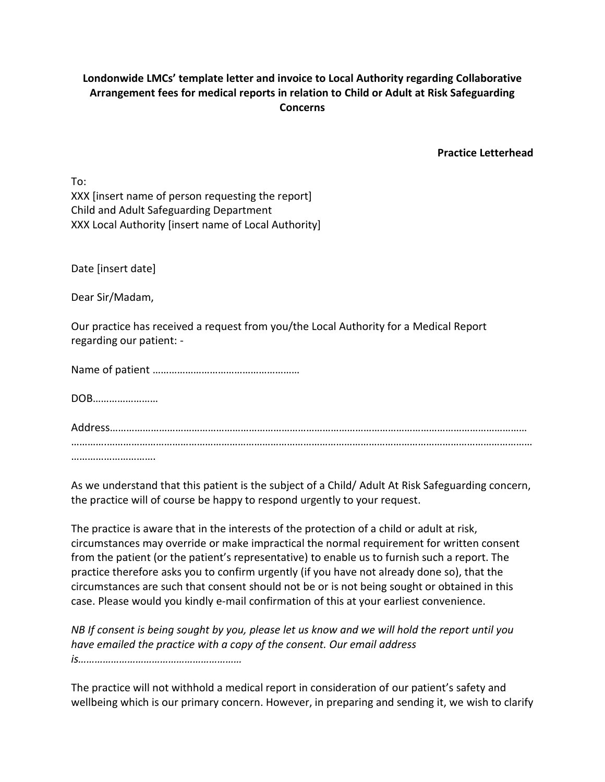## **Londonwide LMCs' template letter and invoice to Local Authority regarding Collaborative Arrangement fees for medical reports in relation to Child or Adult at Risk Safeguarding Concerns**

**Practice Letterhead**

To: XXX [insert name of person requesting the report] Child and Adult Safeguarding Department XXX Local Authority [insert name of Local Authority]

Date [insert date]

Dear Sir/Madam,

Our practice has received a request from you/the Local Authority for a Medical Report regarding our patient: -

Name of patient ………………………………………………

DOB……………………

As we understand that this patient is the subject of a Child/ Adult At Risk Safeguarding concern, the practice will of course be happy to respond urgently to your request.

The practice is aware that in the interests of the protection of a child or adult at risk, circumstances may override or make impractical the normal requirement for written consent from the patient (or the patient's representative) to enable us to furnish such a report. The practice therefore asks you to confirm urgently (if you have not already done so), that the circumstances are such that consent should not be or is not being sought or obtained in this case. Please would you kindly e-mail confirmation of this at your earliest convenience.

*NB If consent is being sought by you, please let us know and we will hold the report until you have emailed the practice with a copy of the consent. Our email address is……………………………………………………*

The practice will not withhold a medical report in consideration of our patient's safety and wellbeing which is our primary concern. However, in preparing and sending it, we wish to clarify